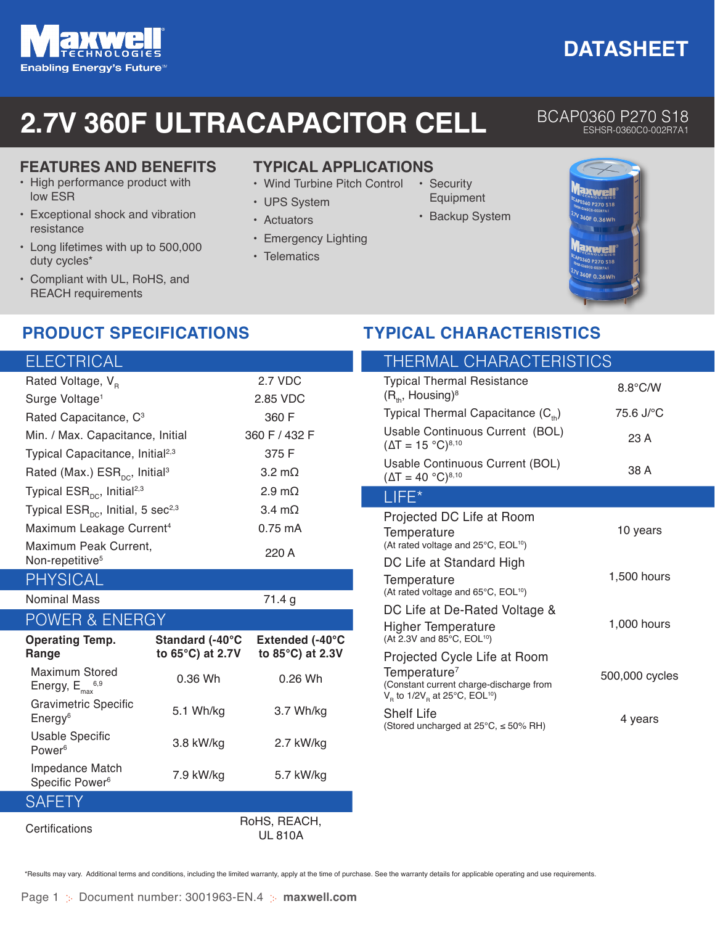

# **2.7V 360F ULTRACAPACITOR CELL**

## **FEATURES AND BENEFITS**

- High performance product with low ESR
- Exceptional shock and vibration resistance
- Long lifetimes with up to 500,000 duty cycles\*
- Compliant with UL, RoHS, and REACH requirements

# **TYPICAL APPLICATIONS**

- Wind Turbine Pitch Control Security
- UPS System
- Actuators
- Emergency Lighting
- Telematics
- - Equipment • Backup System



### BCAP0360 P270 S18 ESHSR-0360C0-002R7A1



| <b>ELECTRICAL</b>                                       |                                     |                                     |  |  |  |
|---------------------------------------------------------|-------------------------------------|-------------------------------------|--|--|--|
| Rated Voltage, V <sub>R</sub>                           | 2.7 VDC                             |                                     |  |  |  |
| Surge Voltage <sup>1</sup>                              | 2.85 VDC                            |                                     |  |  |  |
| Rated Capacitance, C <sup>3</sup>                       | 360 F                               |                                     |  |  |  |
| Min. / Max. Capacitance, Initial                        | 360 F / 432 F                       |                                     |  |  |  |
| Typical Capacitance, Initial <sup>2,3</sup>             | 375 F                               |                                     |  |  |  |
| Rated (Max.) $ESR_{nc}$ , Initial <sup>3</sup>          | $3.2 \text{ m}\Omega$               |                                     |  |  |  |
| Typical $ESR_{nc}$ , Initial <sup>2,3</sup>             | $2.9 \text{ m}\Omega$               |                                     |  |  |  |
| Typical $ESR_{DC}$ , Initial, 5 sec <sup>2,3</sup>      | $3.4 \text{ mO}$                    |                                     |  |  |  |
| Maximum Leakage Current <sup>4</sup>                    | $0.75$ mA                           |                                     |  |  |  |
| Maximum Peak Current,<br>Non-repetitive <sup>5</sup>    | 220 A                               |                                     |  |  |  |
| <b>PHYSICAL</b>                                         |                                     |                                     |  |  |  |
| <b>Nominal Mass</b>                                     |                                     | 71.4 g                              |  |  |  |
| <b>POWER &amp; ENERGY</b>                               |                                     |                                     |  |  |  |
| <b>Operating Temp.</b><br>Range                         | Standard (-40°C<br>to 65°C) at 2.7V | Extended (-40°C<br>to 85°C) at 2.3V |  |  |  |
| <b>Maximum Stored</b><br>Energy, $E_{\text{max}}^{6,9}$ | $0.36$ Wh                           | $0.26$ Wh                           |  |  |  |
| <b>Gravimetric Specific</b><br>Energy <sup>6</sup>      | 5.1 Wh/kg                           | 3.7 Wh/kg                           |  |  |  |
| <b>Usable Specific</b><br>Power <sup>6</sup>            | 3.8 kW/kg                           | 2.7 kW/kg                           |  |  |  |
| Impedance Match<br>Specific Power <sup>6</sup>          | 7.9 kW/kg                           | 5.7 kW/kg                           |  |  |  |
| <b>SAFETY</b>                                           |                                     |                                     |  |  |  |
| Certifications                                          |                                     | RoHS, REACH,<br><b>UL 810A</b>      |  |  |  |

# **PRODUCT SPECIFICATIONS TYPICAL CHARACTERISTICS**

| <b>THERMAL CHARACTERISTICS</b>                                                                                                                         |                |  |  |
|--------------------------------------------------------------------------------------------------------------------------------------------------------|----------------|--|--|
| <b>Typical Thermal Resistance</b><br>$(R_{th}$ , Housing) <sup>8</sup>                                                                                 | 8.8°C/W        |  |  |
| Typical Thermal Capacitance $(C_{th})$                                                                                                                 | 75.6 J/°C      |  |  |
| Usable Continuous Current (BOL)<br>$(\Delta T = 15 \degree C)^{8,10}$                                                                                  | 23 A           |  |  |
| Usable Continuous Current (BOL)<br>$(\Delta T = 40 °C)^{8,10}$                                                                                         | 38 A           |  |  |
| LIFE*                                                                                                                                                  |                |  |  |
| Projected DC Life at Room<br>Temperature<br>(At rated voltage and 25°C, EOL <sup>10</sup> )                                                            | 10 years       |  |  |
| DC Life at Standard High<br>Temperature<br>(At rated voltage and 65°C, EOL <sup>10</sup> )                                                             | 1,500 hours    |  |  |
| DC Life at De-Rated Voltage &<br><b>Higher Temperature</b><br>(At 2.3V and 85°C, EOL <sup>10</sup> )                                                   | 1,000 hours    |  |  |
| Projected Cycle Life at Room<br>Temperature <sup>7</sup><br>(Constant current charge-discharge from<br>$V_R$ to 1/2 $V_R$ at 25°C, EOL <sup>10</sup> ) | 500,000 cycles |  |  |
| Shelf Life<br>(Stored uncharged at $25^{\circ}$ C, $\leq 50\%$ RH)                                                                                     | 4 years        |  |  |
|                                                                                                                                                        |                |  |  |

\*Results may vary. Additional terms and conditions, including the limited warranty, apply at the time of purchase. See the warranty details for applicable operating and use requirements.